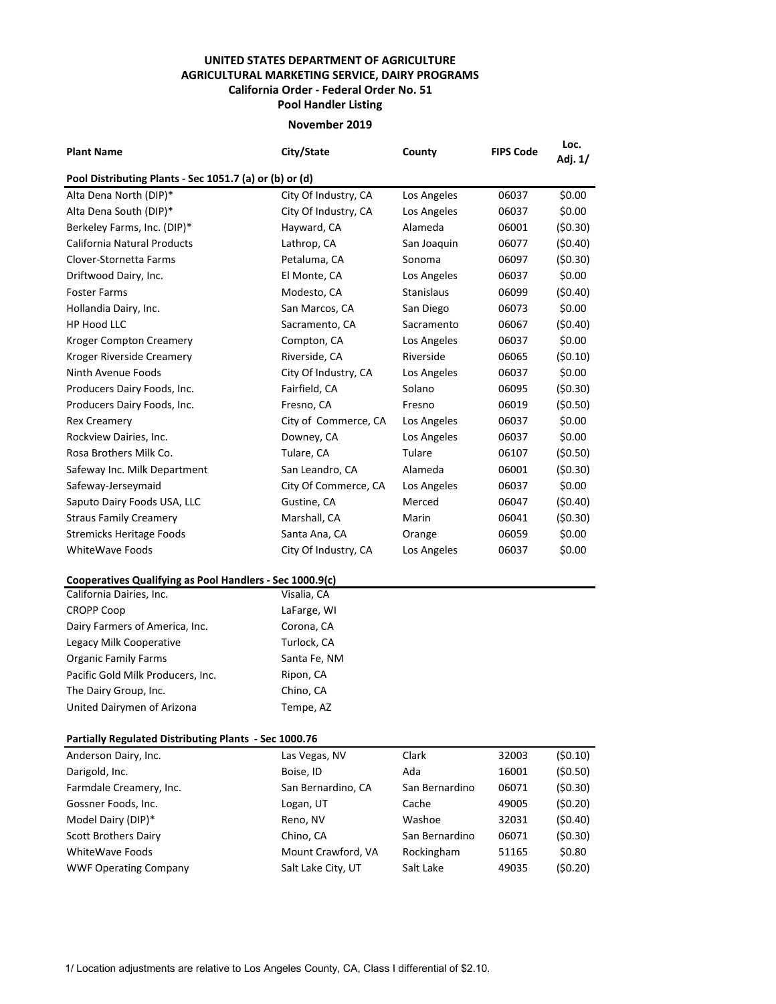## **UNITED STATES DEPARTMENT OF AGRICULTURE AGRICULTURAL MARKETING SERVICE, DAIRY PROGRAMS Pool Handler Listing California Order - Federal Order No. 51**

## **November 2019**

| <b>Plant Name</b>                                        | City/State           | County            | <b>FIPS Code</b> | Loc.<br>Adj. 1/ |  |  |  |  |
|----------------------------------------------------------|----------------------|-------------------|------------------|-----------------|--|--|--|--|
| Pool Distributing Plants - Sec 1051.7 (a) or (b) or (d)  |                      |                   |                  |                 |  |  |  |  |
| Alta Dena North (DIP)*                                   | City Of Industry, CA | Los Angeles       | 06037            | \$0.00          |  |  |  |  |
| Alta Dena South (DIP)*                                   | City Of Industry, CA | Los Angeles       | 06037            | \$0.00          |  |  |  |  |
| Berkeley Farms, Inc. (DIP)*                              | Hayward, CA          | Alameda           | 06001            | (50.30)         |  |  |  |  |
| California Natural Products                              | Lathrop, CA          | San Joaquin       | 06077            | (50.40)         |  |  |  |  |
| Clover-Stornetta Farms                                   | Petaluma, CA         | Sonoma            | 06097            | (50.30)         |  |  |  |  |
| Driftwood Dairy, Inc.                                    | El Monte, CA         | Los Angeles       | 06037            | \$0.00          |  |  |  |  |
| <b>Foster Farms</b>                                      | Modesto, CA          | <b>Stanislaus</b> | 06099            | (50.40)         |  |  |  |  |
| Hollandia Dairy, Inc.                                    | San Marcos, CA       | San Diego         | 06073            | \$0.00          |  |  |  |  |
| <b>HP Hood LLC</b>                                       | Sacramento, CA       | Sacramento        | 06067            | (50.40)         |  |  |  |  |
| <b>Kroger Compton Creamery</b>                           | Compton, CA          | Los Angeles       | 06037            | \$0.00          |  |  |  |  |
| Kroger Riverside Creamery                                | Riverside, CA        | Riverside         | 06065            | (50.10)         |  |  |  |  |
| Ninth Avenue Foods                                       | City Of Industry, CA | Los Angeles       | 06037            | \$0.00          |  |  |  |  |
| Producers Dairy Foods, Inc.                              | Fairfield, CA        | Solano            | 06095            | (50.30)         |  |  |  |  |
| Producers Dairy Foods, Inc.                              | Fresno, CA           | Fresno            | 06019            | (50.50)         |  |  |  |  |
| <b>Rex Creamery</b>                                      | City of Commerce, CA | Los Angeles       | 06037            | \$0.00          |  |  |  |  |
| Rockview Dairies, Inc.                                   | Downey, CA           | Los Angeles       | 06037            | \$0.00          |  |  |  |  |
| Rosa Brothers Milk Co.                                   | Tulare, CA           | Tulare            | 06107            | (50.50)         |  |  |  |  |
| Safeway Inc. Milk Department                             | San Leandro, CA      | Alameda           | 06001            | (50.30)         |  |  |  |  |
| Safeway-Jerseymaid                                       | City Of Commerce, CA | Los Angeles       | 06037            | \$0.00          |  |  |  |  |
| Saputo Dairy Foods USA, LLC                              | Gustine, CA          | Merced            | 06047            | (50.40)         |  |  |  |  |
| <b>Straus Family Creamery</b>                            | Marshall, CA         | Marin             | 06041            | (50.30)         |  |  |  |  |
| <b>Stremicks Heritage Foods</b>                          | Santa Ana, CA        | Orange            | 06059            | \$0.00          |  |  |  |  |
| <b>WhiteWave Foods</b>                                   | City Of Industry, CA | Los Angeles       | 06037            | \$0.00          |  |  |  |  |
| Cooperatives Qualifying as Pool Handlers - Sec 1000.9(c) |                      |                   |                  |                 |  |  |  |  |
| California Dairies, Inc.                                 | Visalia, CA          |                   |                  |                 |  |  |  |  |
| <b>CROPP Coop</b>                                        | LaFarge, WI          |                   |                  |                 |  |  |  |  |
| Dairy Farmers of America, Inc.                           | Corona, CA           |                   |                  |                 |  |  |  |  |
| Legacy Milk Cooperative                                  | Turlock, CA          |                   |                  |                 |  |  |  |  |
| <b>Organic Family Farms</b>                              | Santa Fe, NM         |                   |                  |                 |  |  |  |  |
| Pacific Gold Milk Producers, Inc.                        | Ripon, CA            |                   |                  |                 |  |  |  |  |

## **Partially Regulated Distributing Plants - Sec 1000.76**

The Dairy Group, Inc. Chino, CA United Dairymen of Arizona Tempe, AZ

| Anderson Dairy, Inc.         | Las Vegas, NV      | Clark          | 32003 | (50.10)  |
|------------------------------|--------------------|----------------|-------|----------|
| Darigold, Inc.               | Boise, ID          | Ada            | 16001 | (50.50)  |
| Farmdale Creamery, Inc.      | San Bernardino, CA | San Bernardino | 06071 | (50.30)  |
| Gossner Foods, Inc.          | Logan, UT          | Cache          | 49005 | (50.20)  |
| Model Dairy (DIP)*           | Reno, NV           | Washoe         | 32031 | (50.40)  |
| <b>Scott Brothers Dairy</b>  | Chino, CA          | San Bernardino | 06071 | (50.30)  |
| WhiteWave Foods              | Mount Crawford, VA | Rockingham     | 51165 | \$0.80   |
| <b>WWF Operating Company</b> | Salt Lake City, UT | Salt Lake      | 49035 | (\$0.20) |